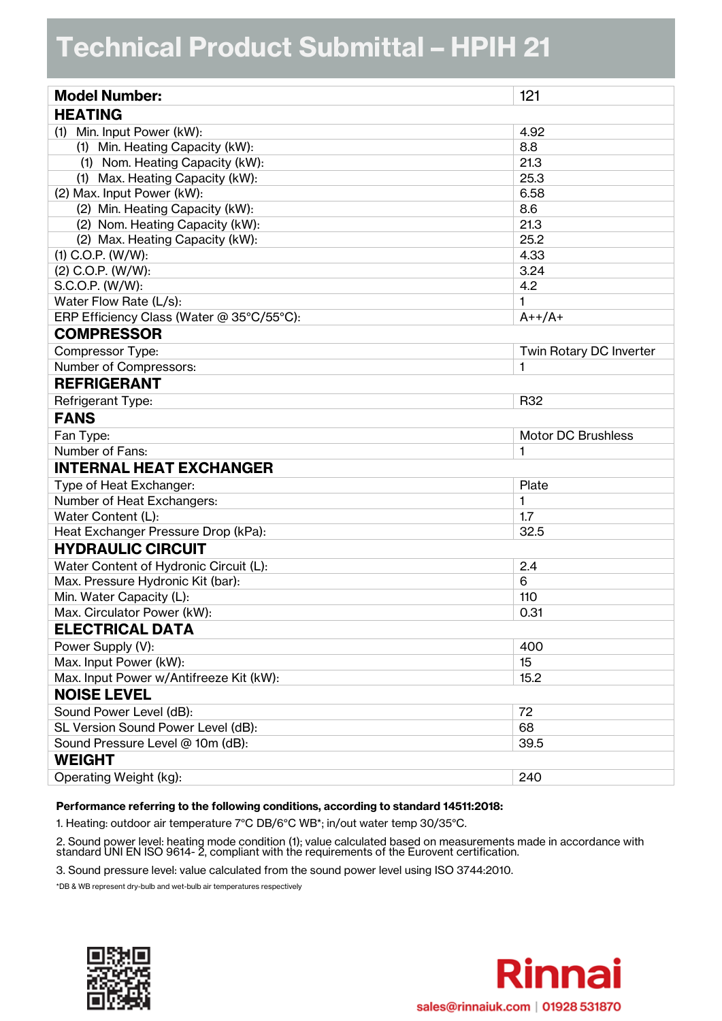## **Technical Product Submittal - HPIH 21**

| <b>Model Number:</b>                      | 121                       |  |  |
|-------------------------------------------|---------------------------|--|--|
| <b>HEATING</b>                            |                           |  |  |
| (1) Min. Input Power (kW):                | 4.92                      |  |  |
| (1) Min. Heating Capacity (kW):           | 8.8                       |  |  |
| (1) Nom. Heating Capacity (kW):           | 21.3                      |  |  |
| (1) Max. Heating Capacity (kW):           | 25.3                      |  |  |
| (2) Max. Input Power (kW):                | 6.58                      |  |  |
| (2) Min. Heating Capacity (kW):           | 8.6                       |  |  |
| (2) Nom. Heating Capacity (kW):           | 21.3                      |  |  |
| (2) Max. Heating Capacity (kW):           | 25.2                      |  |  |
| $(1)$ C.O.P. $(W/W)$ :                    | 4.33                      |  |  |
| $(2)$ C.O.P. $(W/W)$ :                    | 3.24                      |  |  |
| S.C.O.P. (W/W):                           | 4.2                       |  |  |
| Water Flow Rate (L/s):                    | 1                         |  |  |
| ERP Efficiency Class (Water @ 35°C/55°C): | $A++/A+$                  |  |  |
| <b>COMPRESSOR</b>                         |                           |  |  |
| Compressor Type:                          | Twin Rotary DC Inverter   |  |  |
| Number of Compressors:                    | 1                         |  |  |
| <b>REFRIGERANT</b>                        |                           |  |  |
| Refrigerant Type:                         | R32                       |  |  |
| <b>FANS</b>                               |                           |  |  |
| Fan Type:                                 | <b>Motor DC Brushless</b> |  |  |
| Number of Fans:                           | 1                         |  |  |
| <b>INTERNAL HEAT EXCHANGER</b>            |                           |  |  |
| Type of Heat Exchanger:                   | Plate                     |  |  |
| Number of Heat Exchangers:                | 1                         |  |  |
| Water Content (L):                        | 1.7                       |  |  |
| Heat Exchanger Pressure Drop (kPa):       | 32.5                      |  |  |
| <b>HYDRAULIC CIRCUIT</b>                  |                           |  |  |
| Water Content of Hydronic Circuit (L):    | 2.4                       |  |  |
| Max. Pressure Hydronic Kit (bar):         | 6                         |  |  |
| Min. Water Capacity (L):                  | 110                       |  |  |
| Max. Circulator Power (kW):               | 0.31                      |  |  |
| <b>ELECTRICAL DATA</b>                    |                           |  |  |
| Power Supply (V):                         | 400                       |  |  |
| Max. Input Power (kW):                    | 15                        |  |  |
| Max. Input Power w/Antifreeze Kit (kW):   | 15.2                      |  |  |
| <b>NOISE LEVEL</b>                        |                           |  |  |
| Sound Power Level (dB):                   | 72                        |  |  |
| SL Version Sound Power Level (dB):        | 68                        |  |  |
| Sound Pressure Level @ 10m (dB):          | 39.5                      |  |  |
| <b>WEIGHT</b>                             |                           |  |  |
| Operating Weight (kg):                    | 240                       |  |  |

## **Performance referring to the following conditions, according to standard 14511:2018:**

1. Heating: outdoor air temperature 7°C DB/6°C WB\*; in/out water temp 30/35°C.

2. Sound power level: heating mode condition (1); value calculated based on measurements made in accordance with standard UNI EN ISO 9614- 2, compliant with the requirements of the Eurovent certification.

3. Sound pressure level: value calculated from the sound power level using ISO 3744:2010.

\*DB & WB represent dry-bulb and wet-bulb air temperatures respectively



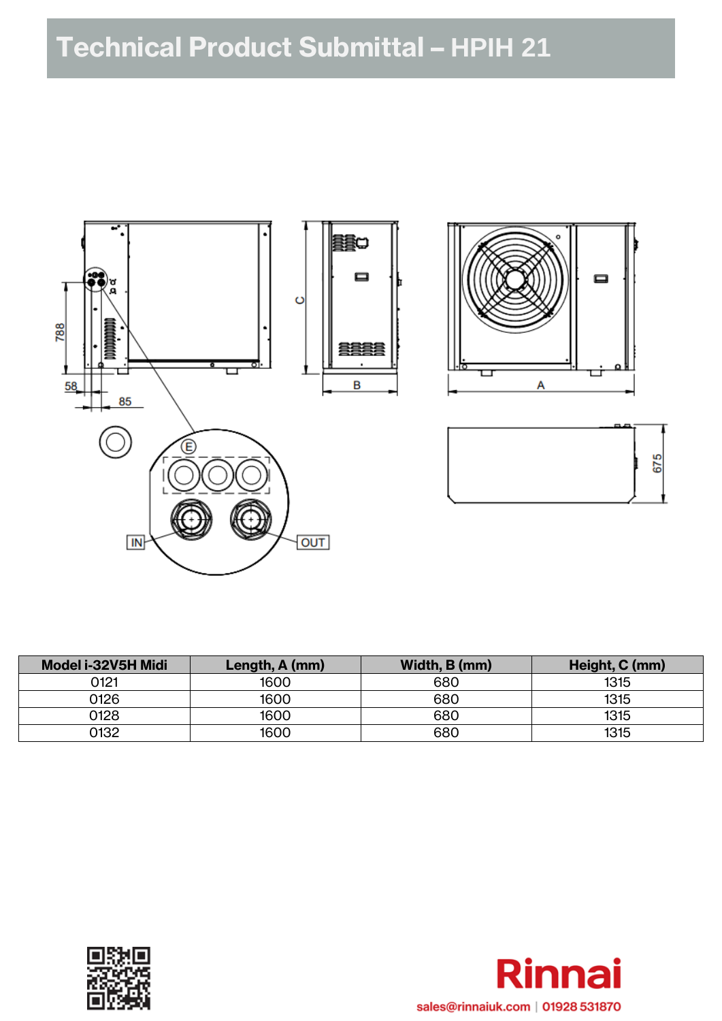

| Model i-32V5H Midi | Length, A (mm) | Width, B (mm) | Height, C (mm) |
|--------------------|----------------|---------------|----------------|
| 0121               | 1600           | 680           | 1315           |
| 0126               | 1600           | 680           | 1315           |
| 0128               | 1600           | 680           | 1315           |
| 0132               | 1600           | 680           | 1315           |